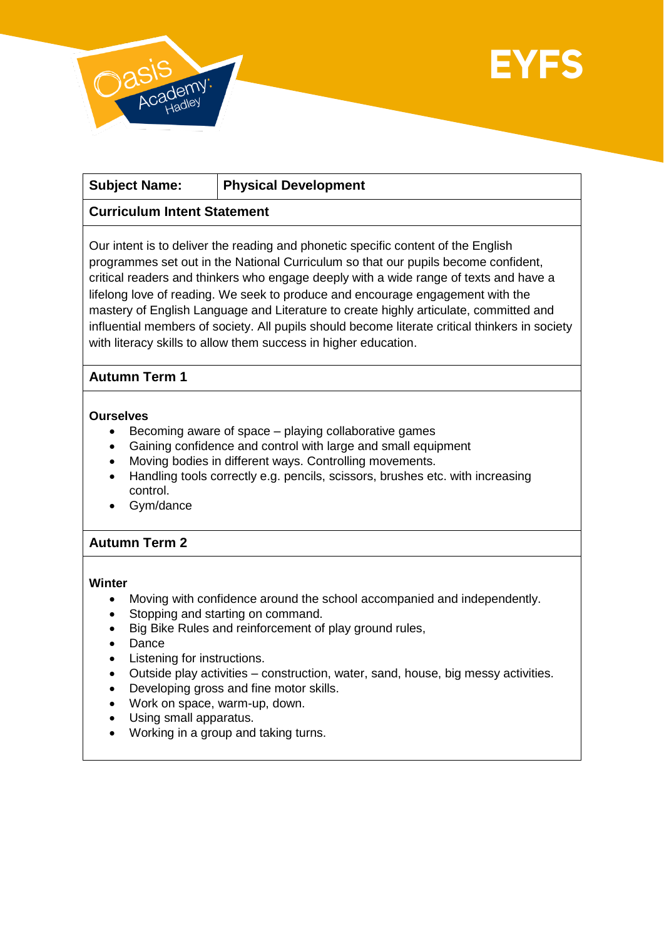



| <b>Subject Name:</b> | <b>Physical Development</b> |
|----------------------|-----------------------------|
|----------------------|-----------------------------|

# **Curriculum Intent Statement**

Our intent is to deliver the reading and phonetic specific content of the English programmes set out in the National Curriculum so that our pupils become confident, critical readers and thinkers who engage deeply with a wide range of texts and have a lifelong love of reading. We seek to produce and encourage engagement with the mastery of English Language and Literature to create highly articulate, committed and influential members of society. All pupils should become literate critical thinkers in society with literacy skills to allow them success in higher education.

### **Autumn Term 1**

#### **Ourselves**

- Becoming aware of space playing collaborative games
- Gaining confidence and control with large and small equipment
- Moving bodies in different ways. Controlling movements.
- Handling tools correctly e.g. pencils, scissors, brushes etc. with increasing control.
- Gym/dance

### **Autumn Term 2**

#### **Winter**

- Moving with confidence around the school accompanied and independently.
- Stopping and starting on command.
- Big Bike Rules and reinforcement of play ground rules,
- Dance
- Listening for instructions.
- Outside play activities construction, water, sand, house, big messy activities.
- Developing gross and fine motor skills.
- Work on space, warm-up, down.
- Using small apparatus.
- Working in a group and taking turns.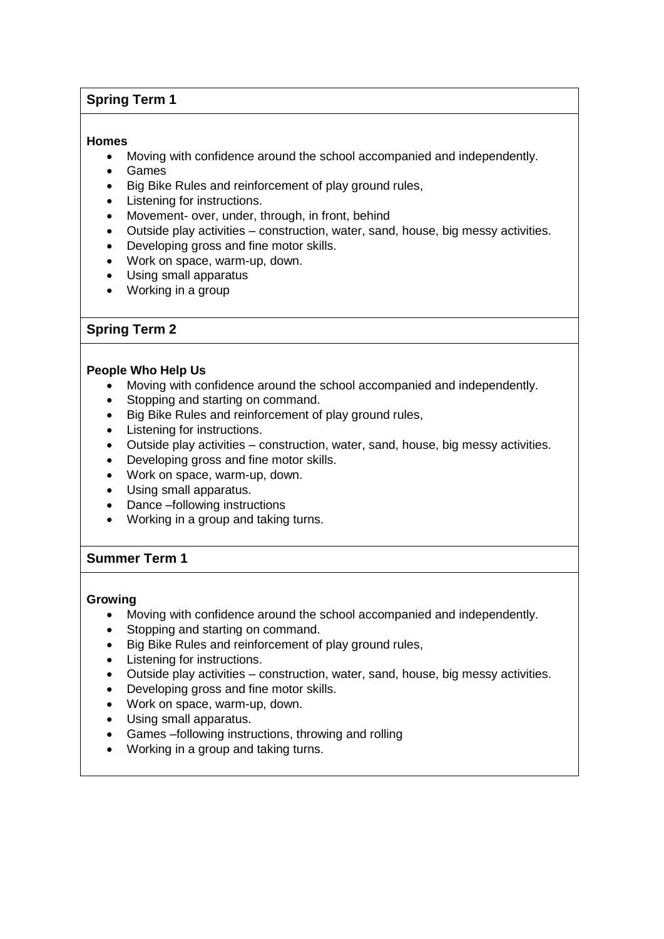# **Spring Term 1**

### **Homes**

- Moving with confidence around the school accompanied and independently.
- Games
- Big Bike Rules and reinforcement of play ground rules,
- Listening for instructions.
- Movement- over, under, through, in front, behind
- Outside play activities construction, water, sand, house, big messy activities.
- Developing gross and fine motor skills.
- Work on space, warm-up, down.
- Using small apparatus
- Working in a group

### **Spring Term 2**

#### **People Who Help Us**

- Moving with confidence around the school accompanied and independently.
- Stopping and starting on command.
- Big Bike Rules and reinforcement of play ground rules,
- Listening for instructions.
- Outside play activities construction, water, sand, house, big messy activities.
- Developing gross and fine motor skills.
- Work on space, warm-up, down.
- Using small apparatus.
- Dance –following instructions
- Working in a group and taking turns.

### **Summer Term 1**

#### **Growing**

- Moving with confidence around the school accompanied and independently.
- Stopping and starting on command.
- Big Bike Rules and reinforcement of play ground rules,
- Listening for instructions.
- Outside play activities construction, water, sand, house, big messy activities.
- Developing gross and fine motor skills.
- Work on space, warm-up, down.
- Using small apparatus.
- Games –following instructions, throwing and rolling
- Working in a group and taking turns.